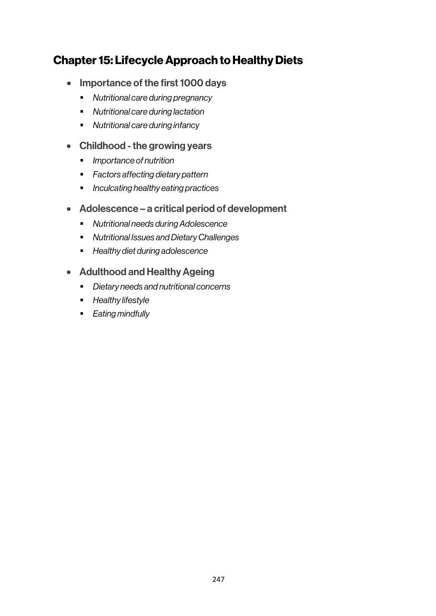# Chapter 15: Lifecycle Approach to Healthy Diets

- Importance of the first 1000 days
	- § *Nutritional care during pregnancy*
	- § *Nutritional care during lactation*
	- § *Nutritional care during infancy*
- Childhood the growing years
	- § *Importance of nutrition*
	- § *Factors affecting dietary pattern*
	- § *Inculcating healthy eating practices*
- Adolescence a critical period of development
	- § *Nutritional needs during Adolescence*
	- § *Nutritional Issues and Dietary Challenges*
	- § *Healthy diet during adolescence*
- Adulthood and Healthy Ageing
	- § *Dietary needs and nutritional concerns*
	- § *Healthy lifestyle*
	- § *Eating mindfully*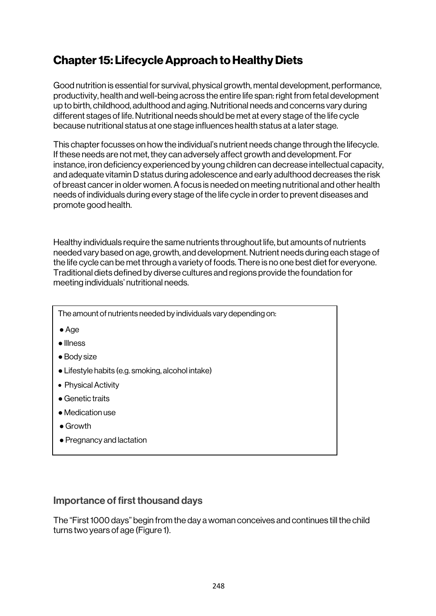# Chapter 15: Lifecycle Approach to Healthy Diets

Good nutrition is essential for survival, physical growth, mental development, performance, productivity, health and well-being across the entire life span: right from fetal development up to birth, childhood, adulthood and aging. Nutritional needs and concerns vary during different stages of life. Nutritional needs should be met at every stage of the life cycle because nutritional status at one stage influences health status at a later stage.

This chapter focusses on how the individual's nutrient needs change through the lifecycle. If these needs are not met, they can adversely affect growth and development. For instance, iron deficiency experienced by young children can decrease intellectual capacity, and adequate vitamin D status during adolescence and early adulthood decreases the risk of breast cancer in older women. A focus is needed on meeting nutritional and other health needs of individuals during every stage of the life cycle in order to prevent diseases and promote good health.

Healthy individuals require the same nutrients throughout life, but amounts of nutrients needed vary based on age, growth, and development. Nutrient needs during each stage of the life cycle can be met through a variety of foods. There is no one best diet for everyone. Traditional diets defined by diverse cultures and regions provide the foundation for meeting individuals' nutritional needs.

The amount of nutrients needed by individuals vary depending on:

- ●Age
- Illness
- Body size
- Lifestyle habits (e.g. smoking, alcohol intake)
- Physical Activity
- Genetic traits
- Medication use
- Growth
- Pregnancy and lactation

### Importance of first thousand days

The "First 1000 days" begin from the day a woman conceives and continues till the child turns two years of age (Figure 1).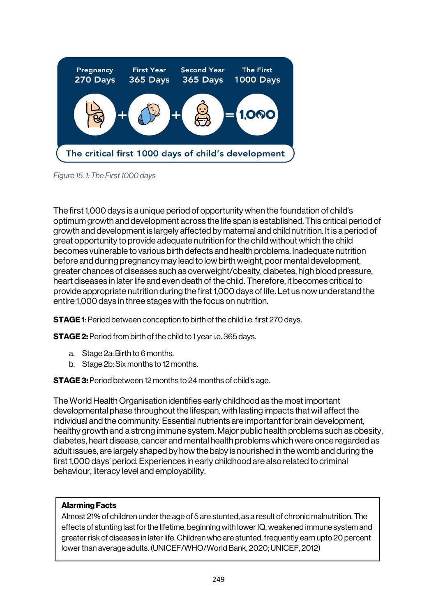

*Figure 15. 1: The First 1000 days*

The first 1,000 days is a unique period of opportunity when the foundation of child's optimum growth and development across the life span is established. This critical period of growth and development is largely affected by maternal and child nutrition. It is a period of great opportunity to provide adequate nutrition for the child without which the child becomes vulnerable to various birth defects and health problems. Inadequate nutrition before and during pregnancy may lead to low birth weight, poor mental development, greater chances of diseases such as overweight/obesity, diabetes, high blood pressure, heart diseases in later life and even death of the child. Therefore, it becomes critical to provide appropriate nutrition during the first 1,000 days of life. Let us now understand the entire 1,000 days in three stages with the focus on nutrition.

**STAGE 1:** Period between conception to birth of the child i.e. first 270 days.

STAGE 2: Period from birth of the child to 1 year i.e. 365 days.

- a. Stage 2a: Birth to 6 months.
- b. Stage 2b: Six months to 12 months.

STAGE 3: Period between 12 months to 24 months of child's age.

The World Health Organisation identifies early childhood as the most important developmental phase throughout the lifespan, with lasting impacts that will affect the individual and the community. Essential nutrients are important for brain development, healthy growth and a strong immune system. Major public health problems such as obesity, diabetes, heart disease, cancer and mental health problems which were once regarded as adult issues, are largely shaped by how the baby is nourished in the womb and during the first 1,000 days' period. Experiences in early childhood are also related to criminal behaviour, literacy level and employability.

#### Alarming Facts

Almost 21% of children under the age of 5 are stunted, as a result of chronic malnutrition. The effects of stunting last for the lifetime, beginning with lower IQ, weakened immune system and greater risk of diseases in later life. Children who are stunted, frequently earn upto 20 percent lower than average adults. (UNICEF/WHO/World Bank, 2020; UNICEF, 2012)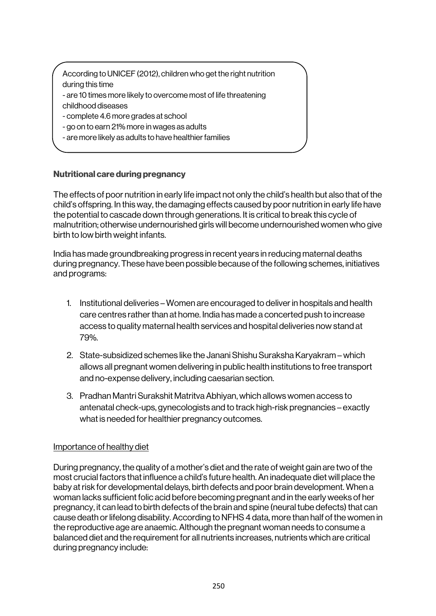According to UNICEF (2012), children who get the right nutrition during this time - are 10 times more likely to overcome most of life threatening childhood diseases

- complete 4.6 more grades at school
- go on to earn 21% more in wages as adults
- are more likely as adults to have healthier families

### Nutritional care during pregnancy

The effects of poor nutrition in early life impact not only the child's health but also that of the child's offspring. In this way, the damaging effects caused by poor nutrition in early life have the potential to cascade down through generations. It is critical to break this cycle of malnutrition; otherwise undernourished girls will become undernourished women who give birth to low birth weight infants.

India has made groundbreaking progress in recent years in reducing maternal deaths during pregnancy. These have been possible because of the following schemes, initiatives and programs:

- 1. Institutional deliveries Women are encouraged to deliverin hospitals and health care centres rather than at home. India has made a concerted push to increase access to quality maternal health services and hospital deliveries now stand at 79%.
- 2. State-subsidized schemes like the Janani Shishu Suraksha Karyakram which allows all pregnant women delivering in public health institutions to free transport and no-expense delivery, including caesarian section.
- 3. Pradhan Mantri Surakshit Matritva Abhiyan, which allows women access to antenatal check-ups, gynecologists and to track high-risk pregnancies – exactly what is needed for healthier pregnancy outcomes.

### Importance of healthy diet

During pregnancy, the quality of a mother's diet and the rate of weight gain are two of the most crucial factors that influence a child's future health. An inadequate diet will place the baby at risk for developmental delays, birth defects and poor brain development. When a woman lacks sufficient folic acid before becoming pregnant and in the early weeks of her pregnancy, it can lead to birth defects of the brain and spine (neural tube defects) that can cause death or lifelong disability. According to NFHS 4 data, more than half of the women in the reproductive age are anaemic. Although the pregnant woman needs to consume a balanced diet and the requirement for all nutrients increases, nutrients which are critical during pregnancy include: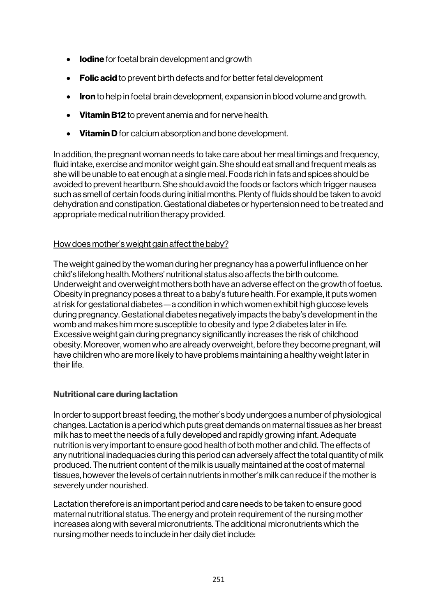- **Iodine** for foetal brain development and growth
- Folic acid to prevent birth defects and for better fetal development
- Iron to help in foetal brain development, expansion in blood volume and growth.
- Vitamin B12 to prevent anemia and for nerve health.
- Vitamin D for calcium absorption and bone development.

In addition, the pregnant woman needs to take care about her meal timings and frequency, fluid intake, exercise and monitor weight gain. She should eat small and frequent meals as she will be unable to eat enough at a single meal. Foods rich in fats and spices should be avoided to prevent heartburn. She should avoid the foods or factors which trigger nausea such as smell of certain foods during initial months. Plenty of fluids should be taken to avoid dehydration and constipation. Gestational diabetes or hypertension need to be treated and appropriate medical nutrition therapy provided.

### How does mother's weight gain affect the baby?

The weight gained by the woman during her pregnancy has a powerful influence on her child's lifelong health. Mothers' nutritional status also affects the birth outcome. Underweight and overweight mothers both have an adverse effect on the growth of foetus. Obesity in pregnancy poses a threat to a baby's future health. For example, it puts women at risk for gestational diabetes—a condition in which women exhibit high glucose levels during pregnancy. Gestational diabetes negatively impacts the baby's development in the womb and makes him more susceptible to obesity and type 2 diabetes later in life. Excessive weight gain during pregnancy significantly increases the risk of childhood obesity. Moreover, women who are already overweight, before they become pregnant, will have children who are more likely to have problems maintaining a healthy weight later in their life.

### Nutritional care during lactation

In order to support breast feeding, the mother's body undergoes a number of physiological changes. Lactation is a period which puts great demands on maternal tissues as her breast milk has to meet the needs of a fully developed and rapidly growing infant. Adequate nutrition is very important to ensure good health of both mother and child. The effects of any nutritional inadequacies during this period can adversely affect the total quantity of milk produced. The nutrient content of the milk is usually maintained at the cost of maternal tissues, however the levels of certain nutrients in mother's milk can reduce if the mother is severely under nourished.

Lactation therefore is an important period and care needs to be taken to ensure good maternal nutritional status. The energy and protein requirement of the nursing mother increases along with several micronutrients. The additional micronutrients which the nursing mother needs to include in her daily diet include: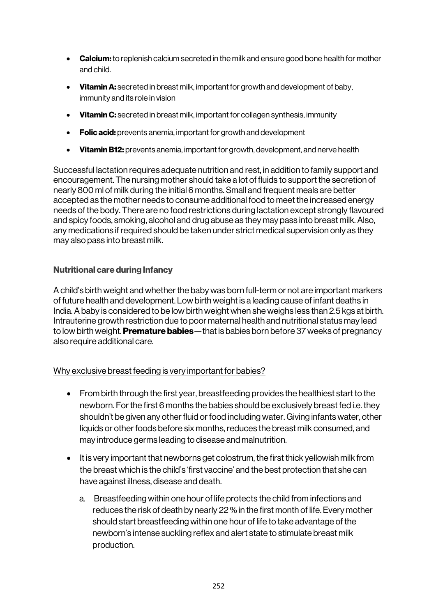- Calcium: to replenish calcium secreted in the milk and ensure good bone health for mother and child.
- Vitamin A: secreted in breast milk, important for growth and development of baby. immunity and its role in vision
- Vitamin C: secreted in breast milk, important for collagen synthesis, immunity
- Folic acid: prevents anemia, important for growth and development
- Vitamin B12: prevents anemia, important for growth, development, and nerve health

Successful lactation requires adequate nutrition and rest, in addition to family support and encouragement. The nursing mother should take a lot of fluids to support the secretion of nearly 800 ml of milk during the initial 6 months. Small and frequent meals are better accepted as the mother needs to consume additional food to meet the increased energy needs of the body. There are no food restrictions during lactation except strongly flavoured and spicy foods, smoking, alcohol and drug abuse as they may pass into breast milk. Also, any medications if required should be taken under strict medical supervision only as they may also pass into breast milk.

### Nutritional care during Infancy

A child's birth weight and whether the baby was born full-term or not are important markers of future health and development. Low birth weight is a leading cause of infant deaths in India. A baby is considered to be low birth weight when she weighs less than 2.5 kgs at birth. Intrauterine growth restriction due to poor maternal health and nutritional status may lead to low birth weight. **Premature babies**—that is babies born before 37 weeks of pregnancy also require additional care.

### Why exclusive breast feeding is very important for babies?

- From birth through the first year, breastfeeding provides the healthiest start to the newborn. For the first 6 months the babies should be exclusively breast fed i.e. they shouldn't be given any other fluid or food including water. Giving infants water, other liquids or other foods before six months, reduces the breast milk consumed, and may introduce germs leading to disease and malnutrition.
- It is very important that newborns get colostrum, the first thick yellowish milk from the breast which is the child's 'first vaccine' and the best protection that she can have against illness, disease and death.
	- a. Breastfeeding within one hour of life protects the child from infections and reduces the risk of death by nearly 22 % in the first month of life. Every mother should start breastfeeding within one hour of life to take advantage of the newborn's intense suckling reflex and alert state to stimulate breast milk production.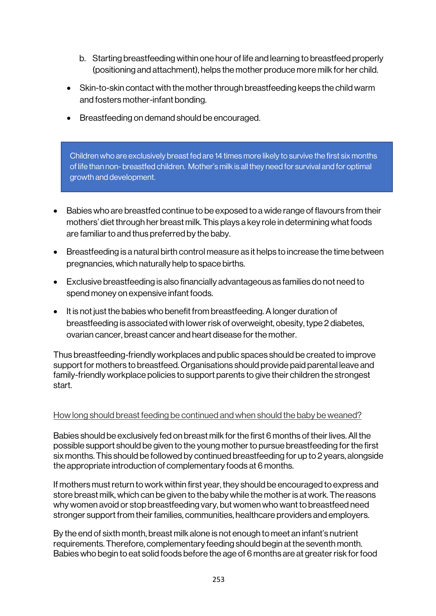- b. Starting breastfeeding within one hour of life and learning to breastfeed properly (positioning and attachment), helps the mother produce more milk for her child.
- Skin-to-skin contact with the mother through breastfeeding keeps the child warm and fosters mother-infant bonding.
- Breastfeeding on demand should be encouraged.

Children who are exclusively breast fed are 14 times more likely to survive the first six months of life than non- breastfed children. Mother's milk is all they need for survival and for optimal growth and development.

- Babies who are breastfed continue to be exposed to a wide range of flavours from their mothers' diet through her breast milk. This plays a key role in determining what foods are familiar to and thus preferred by the baby.
- Breastfeeding is a natural birth control measure as it helps to increase the time between pregnancies, which naturally help to space births.
- Exclusive breastfeeding is also financially advantageous as families do not need to spend money on expensive infant foods.
- It is not just the babies who benefit from breastfeeding. A longer duration of breastfeeding is associated with lower risk of overweight, obesity, type 2 diabetes, ovarian cancer, breast cancer and heart disease for the mother.

Thus breastfeeding-friendly workplaces and public spaces should be created to improve support for mothers to breastfeed. Organisations should provide paid parental leave and family-friendly workplace policies to support parents to give their children the strongest start.

#### How long should breast feeding be continued and when should the baby be weaned?

Babies should be exclusively fed on breast milk for the first 6 months of their lives. All the possible support should be given to the young mother to pursue breastfeeding for the first six months. This should be followed by continued breastfeeding for up to 2 years, alongside the appropriate introduction of complementary foods at 6 months.

If mothers must return to work within first year, they should be encouraged to express and store breast milk, which can be given to the baby while the mother is at work. The reasons why women avoid or stop breastfeeding vary, but women who want to breastfeed need stronger support from their families, communities, healthcare providers and employers.

By the end of sixth month, breast milk alone is not enough to meet an infant's nutrient requirements. Therefore, complementary feeding should begin at the seventh month. Babies who begin to eat solid foods before the age of 6 months are at greater risk for food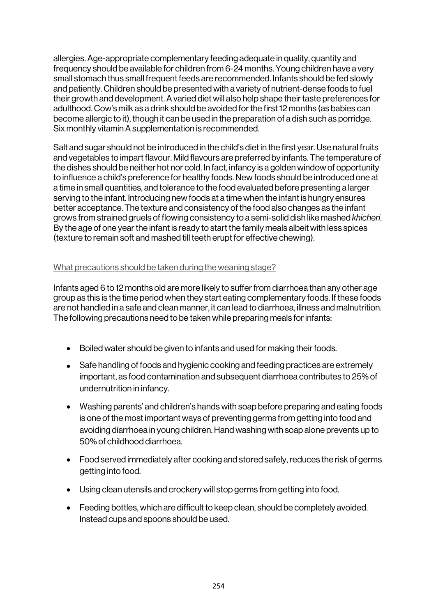allergies. Age-appropriate complementary feeding adequate in quality, quantity and frequency should be available for children from 6-24 months. Young children have a very small stomach thus small frequent feeds are recommended. Infants should be fed slowly and patiently. Children should be presented with a variety of nutrient-dense foods to fuel their growth and development. A varied diet will also help shape their taste preferences for adulthood. Cow's milk as a drink should be avoided for the first 12 months (as babies can become allergic to it), though it can be used in the preparation of a dish such as porridge. Six monthly vitamin A supplementation is recommended.

Salt and sugar should not be introduced in the child's diet in the first year. Use natural fruits and vegetables to impart flavour. Mild flavours are preferred by infants. The temperature of the dishes should be neither hot nor cold. In fact, infancy is a golden window of opportunity to influence a child's preference for healthy foods. New foods should be introduced one at a time in small quantities, and tolerance to the food evaluated before presenting a larger serving to the infant. Introducing new foods at a time when the infant is hungry ensures better acceptance. The texture and consistency of the food also changes as the infant grows from strained gruels of flowing consistency to a semi-solid dish like mashed *khicheri*. By the age of one year the infant is ready to start the family meals albeit with less spices (texture to remain soft and mashed till teeth erupt for effective chewing).

### What precautions should be taken during the weaning stage?

Infants aged 6 to 12 months old are more likely to suffer from diarrhoea than any other age group as this is the time period when they start eating complementary foods. If these foods are not handled in a safe and clean manner, it can lead to diarrhoea, illness and malnutrition. The following precautions need to be taken while preparing meals for infants:

- Boiled water should be given to infants and used for making their foods.
- Safe handling of foods and hygienic cooking and feeding practices are extremely important, as food contamination and subsequent diarrhoea contributes to 25% of undernutrition in infancy.
- Washing parents' and children's hands with soap before preparing and eating foods is one of the most important ways of preventing germs from getting into food and avoiding diarrhoea in young children. Hand washing with soap alone prevents up to 50% of childhood diarrhoea.
- Food served immediately after cooking and stored safely, reduces the risk of germs getting into food.
- Using clean utensils and crockery will stop germs from getting into food.
- Feeding bottles, which are difficult to keep clean, should be completely avoided. Instead cups and spoons should be used.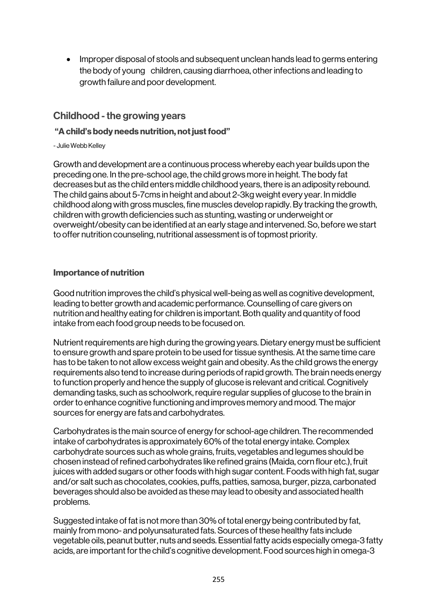• Improper disposal of stools and subsequent unclean hands lead to germs entering the body of young children, causing diarrhoea, other infections and leading to growth failure and poor development.

## Childhood - the growing years

### "A child's body needs nutrition, not just food"

- Julie Webb Kelley

Growth and development are a continuous process whereby each year builds upon the preceding one. In the pre-school age, the child growsmore in height. The body fat decreases but as the child enters middle childhood years, there is an adiposity rebound. The child gains about 5-7cms in height and about 2-3kg weight every year. In middle childhood along with gross muscles, fine muscles develop rapidly. By tracking the growth, children with growth deficiencies such as stunting, wasting or underweight or overweight/obesity can be identified at an early stage and intervened. So, before we start to offer nutrition counseling, nutritional assessment is of topmost priority.

### Importance of nutrition

Good nutrition improves the child's physical well-being as well as cognitive development, leading to better growth and academic performance. Counselling of care givers on nutrition and healthy eating for children is important. Both quality and quantity of food intake from each food group needs to be focused on.

Nutrient requirements are high during the growing years. Dietary energy must be sufficient to ensure growth and spare protein to be used for tissue synthesis. At the same time care has to be taken to not allow excess weight gain and obesity. As the child grows the energy requirements also tend to increase during periods of rapid growth. The brain needs energy to function properly and hence the supply of glucose is relevant and critical. Cognitively demanding tasks, such as schoolwork, require regular supplies of glucose to the brain in order to enhance cognitive functioning and improves memory and mood. The major sources for energy are fats and carbohydrates.

Carbohydrates is the main source of energy for school-age children. The recommended intake of carbohydrates is approximately 60% of the total energy intake. Complex carbohydrate sources such as whole grains, fruits, vegetables and legumes should be chosen instead of refined carbohydrates like refined grains (Maida, corn flour etc.), fruit juices with added sugars or other foods with high sugar content. Foods with high fat, sugar and/or salt such as chocolates, cookies, puffs, patties, samosa, burger, pizza, carbonated beverages should also be avoided as these may lead to obesity and associated health problems.

Suggested intake of fat is not more than 30% of total energy being contributed by fat, mainly from mono- and polyunsaturated fats. Sources of these healthy fats include vegetable oils, peanut butter, nuts and seeds. Essential fatty acids especially omega-3 fatty acids, are important for the child's cognitive development. Food sources high in omega-3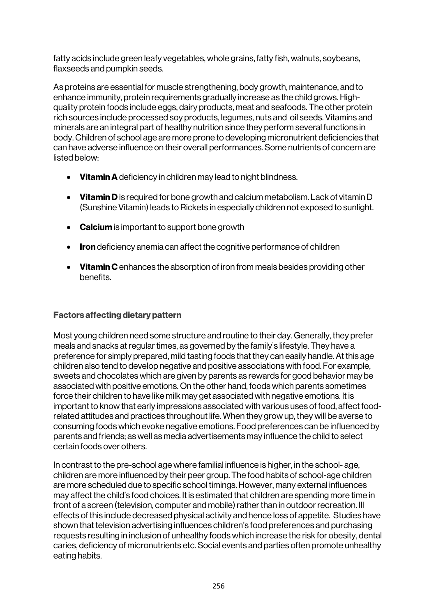fatty acids include green leafy vegetables, whole grains, fatty fish, walnuts, soybeans, flaxseeds and pumpkin seeds.

As proteins are essential for muscle strengthening, body growth, maintenance, and to enhance immunity, protein requirements gradually increase as the child grows. Highquality protein foods include eggs, dairy products, meat and seafoods. The other protein rich sources include processed soy products, legumes, nuts and oil seeds. Vitamins and minerals are an integral part of healthy nutrition since they perform several functions in body. Children of school age are more prone to developing micronutrient deficiencies that can have adverse influence on their overall performances. Some nutrients of concern are listed below:

- Vitamin A deficiency in children may lead to night blindness.
- Vitamin D is required for bone growth and calcium metabolism. Lack of vitamin D (Sunshine Vitamin) leads to Rickets in especially children not exposed to sunlight.
- Calcium is important to support bone growth
- Iron deficiency anemia can affect the cognitive performance of children
- Vitamin C enhances the absorption of iron from meals besides providing other benefits.

### Factors affecting dietary pattern

Most young children need some structure and routine to their day. Generally, they prefer meals and snacks at regular times, as governed by the family's lifestyle. They have a preference for simply prepared, mild tasting foods that they can easily handle. At this age children also tend to develop negative and positive associations with food. For example, sweets and chocolates which are given by parents as rewards for good behavior may be associated with positive emotions. On the other hand, foods which parents sometimes force their children to have like milk may get associated with negative emotions. It is important to know that early impressions associated with various uses of food, affect foodrelated attitudes and practices throughout life. When they grow up, they will be averse to consuming foods which evoke negative emotions. Food preferences can be influenced by parents and friends; as well as media advertisements may influence the child to select certain foods over others.

In contrast to the pre-school age where familial influence is higher, in the school- age, children are more influenced by their peer group. The food habits of school-age children are more scheduled due to specific school timings. However, many external influences may affect the child's food choices. It is estimated that children are spending more time in front of a screen (television, computer and mobile) rather than in outdoor recreation. Ill effects of this include decreased physical activity and hence loss of appetite. Studies have shown that television advertising influences children's food preferences and purchasing requests resulting in inclusion of unhealthy foods which increase the risk for obesity, dental caries, deficiency of micronutrients etc. Social events and parties often promote unhealthy eating habits.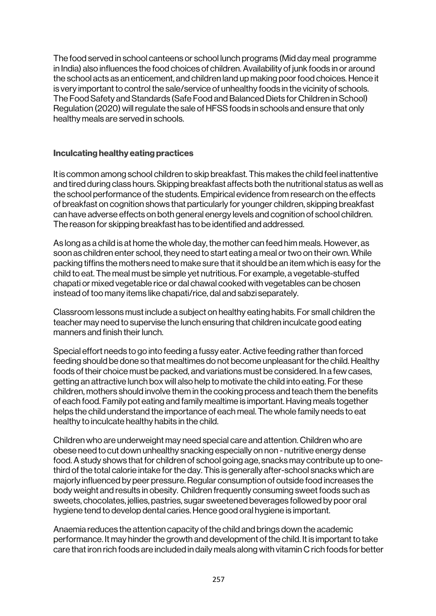The food served in school canteens or school lunch programs (Mid day meal programme in India) also influences the food choices of children. Availability of junk foods in or around the school acts as an enticement, and children land up making poor food choices. Hence it is very important to control the sale/service of unhealthy foods in the vicinity of schools. The Food Safety and Standards (Safe Food and Balanced Diets for Children in School) Regulation (2020) will regulate the sale of HFSS foods in schools and ensure that only healthy meals are served in schools.

#### Inculcating healthy eating practices

It is common among school children to skip breakfast. This makes the child feel inattentive and tired during class hours. Skipping breakfast affects both the nutritional status as well as the school performance of the students. Empirical evidence from research on the effects of breakfast on cognition shows that particularly for younger children, skipping breakfast can have adverse effects on both general energy levels and cognition of school children. The reason for skipping breakfast has to be identified and addressed.

As long as a child is at home the whole day, the mother can feed him meals. However, as soon as children enter school, they need to start eating a meal or two on their own. While packing tiffins the mothers need to make sure that it should be an item which is easy for the child to eat. The meal must be simple yet nutritious. For example, a vegetable-stuffed chapati or mixed vegetable rice or dal chawal cooked with vegetables can be chosen instead of too many items like chapati/rice, dal and sabzi separately.

Classroom lessons must include a subject on healthy eating habits. For small children the teacher may need to supervise the lunch ensuring that children inculcate good eating manners and finish their lunch.

Special effort needs to go into feeding a fussy eater. Active feeding rather than forced feeding should be done so that mealtimes do not become unpleasant for the child. Healthy foods of their choice must be packed, and variations must be considered. In a few cases, getting an attractive lunch box will also help to motivate the child into eating. For these children, mothers should involve them in the cooking process and teach them the benefits of each food. Family pot eating and family mealtime is important. Having meals together helps the child understand the importance of each meal. The whole family needs to eat healthy to inculcate healthy habits in the child.

Children who are underweight may need special care and attention. Children who are obese need to cut down unhealthy snacking especially on non - nutritive energy dense food. A study shows that for children of school going age, snacks may contribute up to onethird of the total calorie intake for the day. This is generally after-school snacks which are majorly influenced by peer pressure. Regular consumption of outside food increases the body weight and results in obesity. Children frequently consuming sweet foods such as sweets, chocolates, jellies, pastries, sugar sweetened beverages followed by poor oral hygiene tend to develop dental caries. Hence good oral hygiene is important.

Anaemia reduces the attention capacity of the child and brings down the academic performance. It may hinder the growth and development of the child. It is important to take care that iron rich foods are included in daily meals along with vitamin C rich foods for better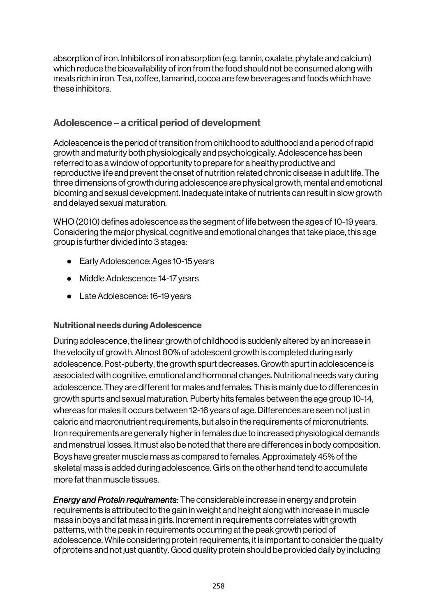absorption of iron. Inhibitors of iron absorption (e.g. tannin, oxalate, phytate and calcium) which reduce the bioavailability of iron from the food should not be consumed along with meals rich in iron. Tea, coffee, tamarind, cocoa are few beverages and foods which have these inhibitors.

### Adolescence – a critical period of development

Adolescence is the period of transition from childhood to adulthood and a period of rapid growth and maturity both physiologically and psychologically. Adolescence has been referred to as a window of opportunity to prepare for a healthy productive and reproductive life and prevent the onset of nutrition related chronic disease in adult life. The three dimensions of growth during adolescence are physical growth, mental and emotional blooming and sexual development. Inadequate intake of nutrients can result in slow growth and delayed sexual maturation.

WHO (2010) defines adolescence as the segment of life between the ages of 10-19 years. Considering the major physical, cognitive and emotional changes that take place, this age group is further divided into 3 stages:

- Early Adolescence: Ages 10-15 years
- Middle Adolescence: 14-17 years
- Late Adolescence: 16-19 years

### Nutritional needs during Adolescence

During adolescence, the linear growth of childhood is suddenly altered by an increase in the velocity of growth. Almost 80% of adolescent growth is completed during early adolescence. Post-puberty, the growth spurt decreases. Growth spurt in adolescence is associated with cognitive, emotional and hormonal changes. Nutritional needs vary during adolescence. They are different for males and females. This is mainly due to differences in growth spurts and sexual maturation. Puberty hits females between the age group 10-14, whereas for males it occurs between 12-16 years of age. Differences are seen not just in caloric and macronutrient requirements, but also in the requirements of micronutrients. Iron requirements are generally higher in females due to increased physiological demands and menstrual losses. It must also be noted that there are differences in body composition. Boys have greater muscle mass as compared to females. Approximately 45% of the skeletal mass is added during adolescence. Girls on the other hand tend to accumulate more fat than muscle tissues.

*Energy and Protein requirements:* The considerable increase in energy and protein requirements is attributed to the gain in weight and height along with increase in muscle mass in boys and fat mass in girls. Increment in requirements correlates with growth patterns, with the peak in requirements occurring at the peak growth period of adolescence. While considering protein requirements, it is important to consider the quality of proteins and not just quantity. Good quality protein should be provided daily by including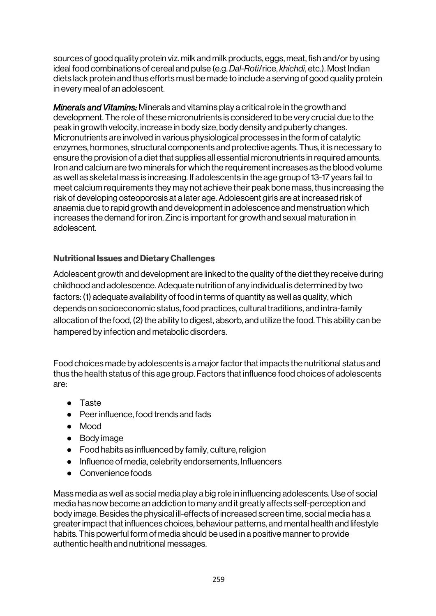sources of good quality protein viz. milk and milk products, eggs, meat, fish and/or by using ideal food combinations of cereal and pulse (e.g. *Dal-Roti*/rice, *khichdi*, etc.). Most Indian diets lack protein and thus efforts must be made to include a serving of good quality protein in every meal of an adolescent.

*Minerals and Vitamins:* Minerals and vitamins play a critical role in the growth and development. The role of these micronutrients is considered to be very crucial due to the peak in growth velocity, increase in body size, body density and puberty changes. Micronutrients are involved in various physiological processes in the form of catalytic enzymes, hormones, structural components and protective agents. Thus, it is necessary to ensure the provision of a diet that supplies all essential micronutrients in required amounts. Iron and calcium are two minerals for which the requirement increases as the blood volume as well as skeletal mass is increasing. If adolescents in the age group of 13-17 years fail to meet calcium requirements they may not achieve their peak bone mass, thus increasing the risk of developing osteoporosis at a later age. Adolescent girls are at increased risk of anaemia due to rapid growth and development in adolescence and menstruation which increases the demand for iron. Zinc is important for growth and sexual maturation in adolescent.

### Nutritional Issues and Dietary Challenges

Adolescent growth and development are linked to the quality of the diet they receive during childhood and adolescence. Adequate nutrition of any individual is determined by two factors: (1) adequate availability of food in terms of quantity as well as quality, which depends on socioeconomic status, food practices, cultural traditions, and intra-family allocation of the food, (2) the ability to digest, absorb, and utilize the food. This ability can be hampered by infection and metabolic disorders.

Food choices made by adolescents is a major factor that impacts the nutritional status and thus the health status of this age group. Factors that influence food choices of adolescents are:

- Taste
- Peer influence, food trends and fads
- Mood
- Body image
- Food habits as influenced by family, culture, religion
- Influence of media, celebrity endorsements, Influencers
- Convenience foods

Mass media as well as social media play a big role in influencing adolescents. Use of social media has now become an addiction to many and it greatly affects self-perception and body image. Besides the physical ill-effects of increased screen time, social media has a greater impact that influences choices, behaviour patterns, and mental health and lifestyle habits. This powerful form of media should be used in a positive manner to provide authentic health and nutritional messages.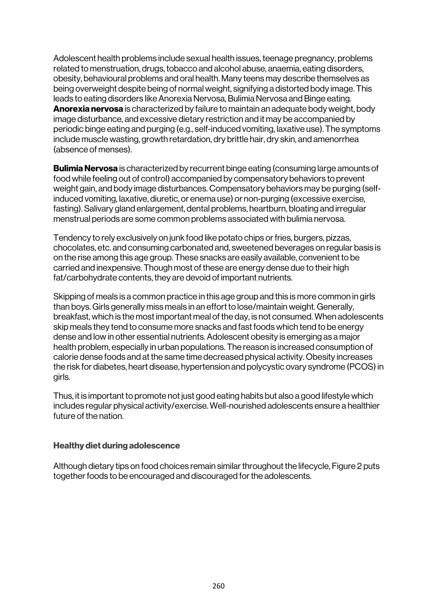Adolescent health problems include sexual health issues, teenage pregnancy, problems related to menstruation, drugs, tobacco and alcohol abuse, anaemia, eating disorders, obesity, behavioural problems and oral health. Many teens may describe themselves as being overweight despite being of normal weight, signifying a distorted body image. This leads to eating disorders like Anorexia Nervosa, Bulimia Nervosa and Binge eating. Anorexia nervosa is characterized by failure to maintain an adequate body weight, body image disturbance, and excessive dietary restriction and it may be accompanied by periodic binge eating and purging (e.g., self-induced vomiting, laxative use). The symptoms include muscle wasting, growth retardation, dry brittle hair, dry skin, and amenorrhea (absence of menses).

**Bulimia Nervosa** is characterized by recurrent binge eating (consuming large amounts of food while feeling out of control) accompanied by compensatory behaviors to prevent weight gain, and body image disturbances. Compensatory behaviors may be purging (selfinduced vomiting, laxative, diuretic, or enema use) or non-purging (excessive exercise, fasting). Salivary gland enlargement, dental problems, heartburn, bloating and irregular menstrual periods are some common problems associated with bulimia nervosa.

Tendency to rely exclusively on junk food like potato chips or fries, burgers, pizzas, chocolates, etc. and consuming carbonated and, sweetened beverages on regular basis is on the rise among this age group. These snacks are easily available, convenient to be carried and inexpensive. Though most of these are energy dense due to their high fat/carbohydrate contents, they are devoid of important nutrients.

Skipping of meals is a common practice in this age group and this is more common in girls than boys. Girls generally miss meals in an effort to lose/maintain weight. Generally, breakfast, which is the most important meal of the day, is not consumed. When adolescents skip meals they tend to consume more snacks and fast foods which tend to be energy dense and low in other essential nutrients. Adolescent obesity is emerging as a major health problem, especially in urban populations. The reason is increased consumption of calorie dense foods and at the same time decreased physical activity. Obesity increases the risk for diabetes, heart disease, hypertension and polycystic ovary syndrome (PCOS) in girls.

Thus, it is important to promote not just good eating habits but also a good lifestyle which includes regular physical activity/exercise. Well-nourished adolescents ensure a healthier future of the nation.

#### Healthy diet during adolescence

Although dietary tips on food choices remain similar throughout the lifecycle, Figure 2 puts together foods to be encouraged and discouraged for the adolescents.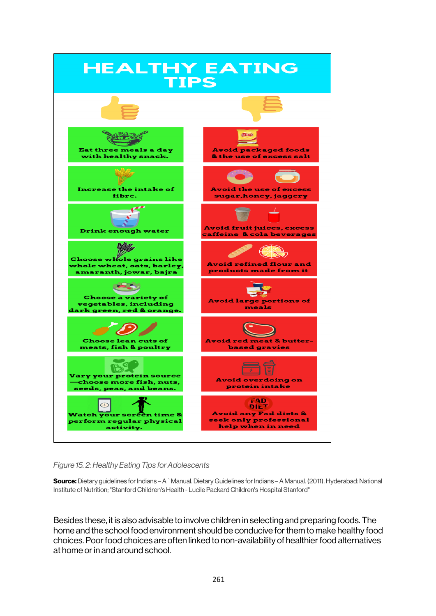

*Figure 15. 2: Healthy Eating Tips for Adolescents* 

Source: Dietary guidelines for Indians – A `Manual. Dietary Guidelines for Indians – A Manual. (2011). Hyderabad: National Institute of Nutrition; "Stanford Children's Health - Lucile Packard Children's Hospital Stanford"

Besides these, it is also advisable to involve children in selecting and preparing foods. The home and the school food environment should be conducive for them to make healthy food choices. Poor food choices are often linked to non-availability of healthier food alternatives at home or in and around school.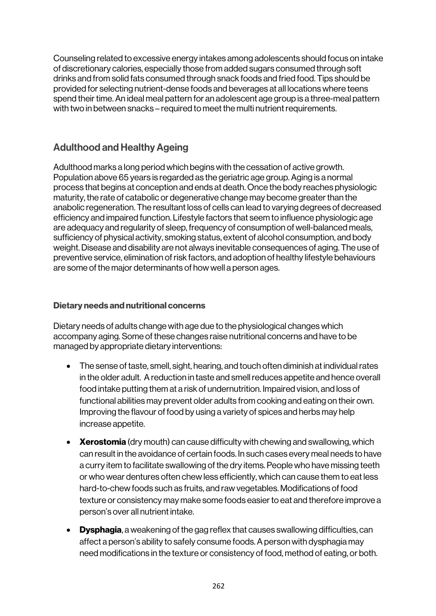Counseling related to excessive energy intakes among adolescents should focus on intake of discretionary calories, especially those from added sugars consumed through soft drinks and from solid fats consumed through snack foods and fried food. Tips should be provided for selecting nutrient-dense foods and beverages at all locations where teens spend their time. An ideal meal pattern for an adolescent age group is a three-meal pattern with two in between snacks – required to meet the multi nutrient requirements.

# Adulthood and Healthy Ageing

Adulthood marks a long period which begins with the cessation of active growth. Population above 65 years is regarded as the geriatric age group. Aging is a normal process that begins at conception and ends at death. Once the body reaches physiologic maturity, the rate of catabolic or degenerative change may become greater than the anabolic regeneration. The resultant loss of cells can lead to varying degrees of decreased efficiency and impaired function. Lifestyle factors that seem to influence physiologic age are adequacy and regularity of sleep, frequency of consumption of well-balanced meals, sufficiency of physical activity, smoking status, extent of alcohol consumption, and body weight. Disease and disability are not always inevitable consequences of aging. The use of preventive service, elimination of risk factors, and adoption of healthy lifestyle behaviours are some of the major determinants of how well a person ages.

### Dietary needs and nutritional concerns

Dietary needs of adults change with age due to the physiological changes which accompany aging. Some of these changes raise nutritional concerns and have to be managed by appropriate dietary interventions:

- The sense of taste, smell, sight, hearing, and touch often diminish at individual rates in the older adult. A reduction in taste and smell reduces appetite and hence overall food intake putting them at a risk of undernutrition. Impaired vision, and loss of functional abilities may prevent older adults from cooking and eating on their own. Improving the flavour of food by using a variety of spices and herbs may help increase appetite.
- Xerostomia (dry mouth) can cause difficulty with chewing and swallowing, which can result in the avoidance of certain foods. In such cases every meal needs to have a curry item to facilitate swallowing of the dry items. People who have missing teeth or who wear dentures often chew less efficiently, which can cause them to eat less hard-to-chew foods such as fruits, and raw vegetables. Modifications of food texture or consistency may make some foods easier to eat and therefore improve a person's over all nutrient intake.
- Dysphagia, a weakening of the gag reflex that causes swallowing difficulties, can affect a person's ability to safely consume foods. A person with dysphagia may need modifications in the texture or consistency of food, method of eating, or both.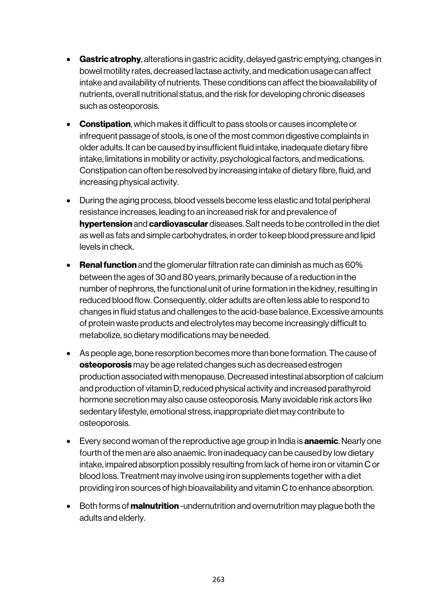- Gastric atrophy, alterations in gastric acidity, delayed gastric emptying, changes in bowel motility rates, decreased lactase activity, and medication usage can affect intake and availability of nutrients. These conditions can affect the bioavailability of nutrients, overall nutritional status, and the risk for developing chronic diseases such as osteoporosis.
- Constipation, which makes it difficult to pass stools or causes incomplete or infrequent passage of stools, is one of the most common digestive complaints in older adults. It can be caused by insufficient fluid intake, inadequate dietary fibre intake, limitations in mobility or activity, psychological factors, and medications. Constipation can often be resolved by increasing intake of dietary fibre, fluid, and increasing physical activity.
- During the aging process, blood vessels become less elastic and total peripheral resistance increases, leading to an increased risk for and prevalence of hypertension and cardiovascular diseases. Salt needs to be controlled in the diet as well as fats and simple carbohydrates, in order to keep blood pressure and lipid levels in check.
- Renal function and the glomerular filtration rate can diminish as much as 60% between the ages of 30 and 80 years, primarily because of a reduction in the number of nephrons, the functional unit of urine formation in the kidney, resulting in reduced blood flow. Consequently, older adults are often less able to respond to changes in fluid status and challenges to the acid-base balance. Excessive amounts of protein waste products and electrolytes may become increasingly difficult to metabolize, so dietary modifications may be needed.
- As people age, bone resorption becomes more than bone formation. The cause of osteoporosis may be age related changes such as decreased estrogen production associated with menopause. Decreased intestinal absorption of calcium and production of vitamin D, reduced physical activity and increased parathyroid hormone secretion may also cause osteoporosis. Many avoidable risk actors like sedentary lifestyle, emotional stress, inappropriate diet may contribute to osteoporosis.
- Every second woman of the reproductive age group in India is **anaemic**. Nearly one fourth of the men are also anaemic. Iron inadequacy can be caused by low dietary intake, impaired absorption possibly resulting from lack of heme iron or vitamin C or blood loss. Treatment may involve using iron supplements together with a diet providing iron sources of high bioavailability and vitamin C to enhance absorption.
- Both forms of **malnutrition** -undernutrition and overnutrition may plague both the adults and elderly.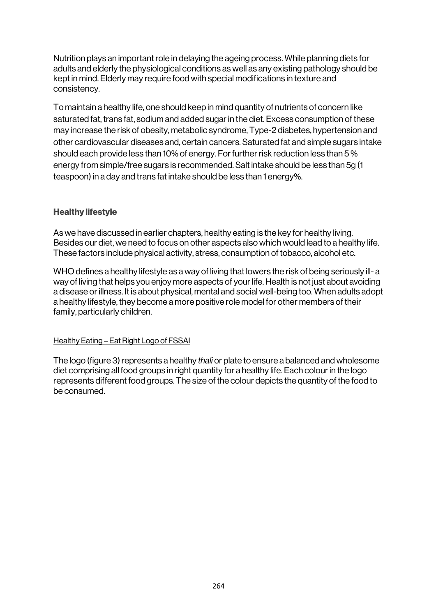Nutrition plays an important role in delaying the ageing process. While planning diets for adults and elderly the physiological conditions as well as any existing pathology should be kept in mind. Elderly may require food with special modifications in texture and consistency.

To maintain a healthy life, one should keep in mind quantity of nutrients of concern like saturated fat, trans fat, sodium and added sugar in the diet. Excess consumption of these may increase the risk of obesity, metabolic syndrome, Type-2 diabetes, hypertension and other cardiovascular diseases and, certain cancers. Saturated fat and simple sugars intake should each provide less than 10% of energy. For further risk reduction less than 5 % energy from simple/free sugars is recommended. Salt intake should be less than 5g (1 teaspoon) in a day and trans fat intake should be less than 1 energy%.

### Healthy lifestyle

As we have discussed in earlier chapters, healthy eating is the key for healthy living. Besides our diet, we need to focus on other aspects also which would lead to a healthy life. These factors include physical activity, stress, consumption of tobacco, alcohol etc.

WHO defines a healthy lifestyle as a way of living that lowers the risk of being seriously ill- a way of living that helps you enjoy more aspects of your life. Health is not just about avoiding a disease or illness. It is about physical, mental and social well-being too. When adults adopt a healthy lifestyle, they become a more positive role model for other members of their family, particularly children.

#### Healthy Eating – Eat Right Logo of FSSAI

The logo (figure 3) represents a healthy *thali* or plate to ensure a balanced and wholesome diet comprising all food groups in right quantity for a healthy life. Each colour in the logo represents different food groups. The size of the colour depicts the quantity of the food to be consumed.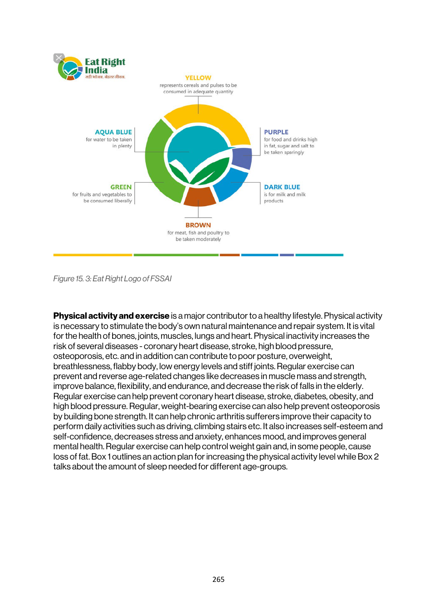

*Figure 15. 3: Eat Right Logo of FSSAI*

**Physical activity and exercise** is a major contributor to a healthy lifestyle. Physical activity is necessary to stimulate the body's own natural maintenance and repair system. It is vital for the health of bones, joints, muscles, lungs and heart. Physical inactivity increases the risk of several diseases - coronary heart disease, stroke, high blood pressure, osteoporosis, etc. and in addition can contribute to poor posture, overweight, breathlessness, flabby body, low energy levels and stiff joints. Regular exercise can prevent and reverse age-related changes like decreases in muscle mass and strength, improve balance, flexibility, and endurance, and decrease the risk of falls in the elderly. Regular exercise can help prevent coronary heart disease, stroke, diabetes, obesity, and high blood pressure. Regular, weight-bearing exercise can also help prevent osteoporosis by building bone strength. It can help chronic arthritis sufferers improve their capacity to perform daily activities such as driving, climbing stairs etc. It also increases self-esteem and self-confidence, decreases stress and anxiety, enhances mood, and improves general mental health. Regular exercise can help control weight gain and, in some people, cause loss of fat. Box 1 outlines an action plan for increasing the physical activity level while Box 2 talks about the amount of sleep needed for different age-groups.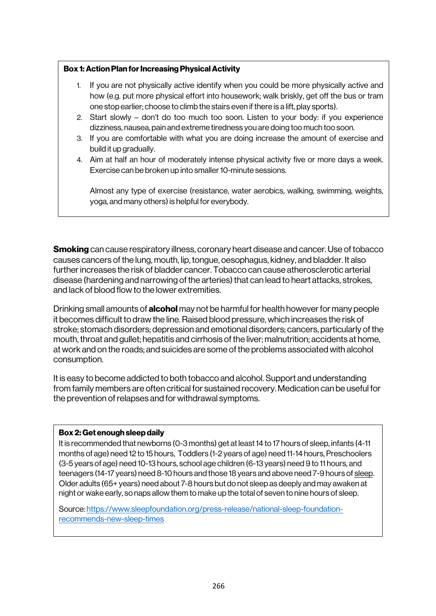#### Box 1: Action Plan for Increasing Physical Activity

- 1. If you are not physically active identify when you could be more physically active and how (e.g. put more physical effort into housework; walk briskly, get off the bus or tram one stop earlier; choose to climb the stairs even if there is a lift, play sports).
- 2. Start slowly don't do too much too soon. Listen to your body: if you experience dizziness, nausea, pain and extreme tiredness you are doing too much too soon.
- 3. If you are comfortable with what you are doing increase the amount of exercise and build it up gradually.
- 4. Aim at half an hour of moderately intense physical activity five or more days a week. Exercise can be broken up into smaller 10-minute sessions.

Almost any type of exercise (resistance, water aerobics, walking, swimming, weights, yoga, and many others) is helpful for everybody.

**Smoking** can cause respiratory illness, coronary heart disease and cancer. Use of tobacco causes cancers of the lung, mouth, lip, tongue, oesophagus, kidney, and bladder. It also further increases the risk of bladder cancer. Tobacco can cause atherosclerotic arterial disease (hardening and narrowing of the arteries) that can lead to heart attacks, strokes, and lack of blood flow to the lower extremities.

Drinking small amounts of **alcohol** may not be harmful for health however for many people it becomes difficult to draw the line. Raised blood pressure, which increases the risk of stroke; stomach disorders; depression and emotional disorders; cancers, particularly of the mouth, throat and gullet; hepatitis and cirrhosis of the liver; malnutrition; accidents at home, at work and on the roads; and suicides are some of the problems associated with alcohol consumption.

It is easy to become addicted to both tobacco and alcohol. Support and understanding from family members are often critical for sustained recovery. Medication can be useful for the prevention of relapses and for withdrawal symptoms.

#### Box 2: Get enough sleep daily

It is recommended that newborns (0-3 months) get at least 14 to 17 hours of sleep, infants (4-11 months of age) need 12 to 15 hours, Toddlers (1-2 years of age) need 11-14 hours, Preschoolers (3-5 years of age) need 10-13 hours, school age children (6-13 years) need 9 to 11 hours, and teenagers (14-17 years) need 8-10 hours and those 18 years and above need 7-9 hours of sleep. Older adults (65+ years) need about 7-8 hours but do not sleep as deeply and may awaken at night or wake early, so naps allow them to make up the total of seven to nine hours of sleep.

Source: https://www.sleepfoundation.org/press-release/national-sleep-foundationrecommends-new-sleep-times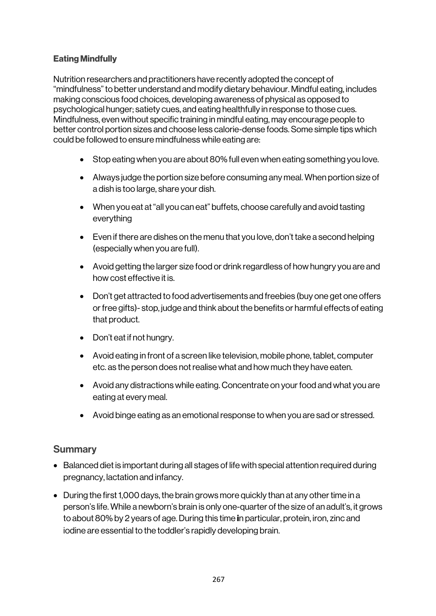### Eating Mindfully

Nutrition researchers and practitioners have recently adopted the concept of "mindfulness" to better understand and modify dietary behaviour. Mindful eating, includes making conscious food choices, developing awareness of physical as opposed to psychological hunger; satiety cues, and eating healthfully in response to those cues. Mindfulness, even without specific training in mindful eating, may encourage people to better control portion sizes and choose less calorie-dense foods. Some simple tips which could be followed to ensure mindfulness while eating are:

- Stop eating when you are about 80% full even when eating something you love.
- Always judge the portion size before consuming any meal. When portion size of a dish is too large, share your dish.
- When you eat at "all you can eat" buffets, choose carefully and avoid tasting everything
- Even if there are dishes on the menu that you love, don't take a second helping (especially when you are full).
- Avoid getting the larger size food or drink regardless of how hungry you are and how cost effective it is.
- Don't get attracted to food advertisements and freebies (buy one get one offers or free gifts)- stop, judge and think about the benefits or harmful effects of eating that product.
- Don't eat if not hungry.
- Avoid eating in front of a screen like television, mobile phone, tablet, computer etc. as the person does not realise what and how much they have eaten.
- Avoid any distractions while eating. Concentrate on your food and what you are eating at every meal.
- Avoid binge eating as an emotional response to when you are sad or stressed.

### **Summary**

- Balanced diet is important during all stages of life with special attention required during pregnancy, lactation and infancy.
- During the first 1,000 days, the brain grows more quickly than at any other time in a person's life. While a newborn's brain is only one-quarter of the size of an adult's, it grows to about 80% by 2 years of age.During this time in particular, protein, iron, zinc and iodine are essential to the toddler's rapidly developing brain.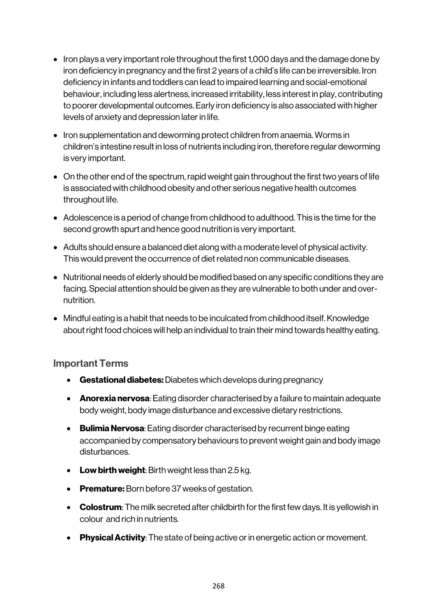- Iron plays a very important role throughout the first 1,000 days and the damage done by iron deficiency in pregnancy and the first 2 years of a child's life can be irreversible. Iron deficiency in infants and toddlers can lead to impaired learning and social-emotional behaviour, including less alertness, increased irritability, less interest in play, contributing to poorer developmental outcomes. Early iron deficiency is also associated with higher levels of anxiety and depression later in life.
- Iron supplementation and deworming protect children from anaemia. Worms in children's intestine result in loss of nutrients including iron, therefore regular deworming is very important.
- On the other end of the spectrum, rapid weight gain throughout the first two years of life is associated with childhood obesity and other serious negative health outcomes throughout life.
- Adolescence is a period of change from childhood to adulthood. This is the time for the second growth spurt and hence good nutrition is very important.
- Adults should ensure a balanced diet along with a moderate level of physical activity. This would prevent the occurrence of diet related non communicable diseases.
- Nutritional needs of elderly should be modified based on any specific conditions they are facing. Special attention should be given as they are vulnerable to both under and overnutrition.
- Mindful eating is a habit that needs to be inculcated from childhood itself. Knowledge about right food choices will help an individual to train their mind towards healthy eating.

### Important Terms

- Gestational diabetes: Diabetes which develops during pregnancy
- Anorexia nervosa: Eating disorder characterised by a failure to maintain adequate body weight, body image disturbance and excessive dietary restrictions.
- Bulimia Nervosa: Eating disorder characterised by recurrent binge eating accompanied by compensatory behaviours to prevent weight gain and body image disturbances.
- Low birth weight: Birth weight less than 2.5 kg.
- Premature: Born before 37 weeks of gestation.
- Colostrum: The milk secreted after childbirth for the first few days. It is yellowish in colour and rich in nutrients.
- Physical Activity: The state of being active or in energetic action or movement.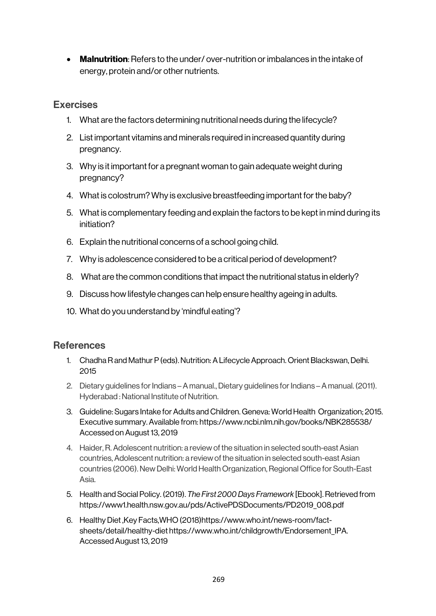• Malnutrition: Refers to the under/over-nutrition or imbalances in the intake of energy, protein and/or other nutrients.

### **Exercises**

- 1. What are the factors determining nutritional needs during the lifecycle?
- 2. List important vitamins and minerals required in increased quantity during pregnancy.
- 3. Why is it important for a pregnant woman to gain adequate weight during pregnancy?
- 4. What is colostrum? Why is exclusive breastfeeding important for the baby?
- 5. What is complementary feeding and explain the factors to be kept in mind during its initiation?
- 6. Explain the nutritional concerns of a school going child.
- 7. Why is adolescence considered to be a critical period of development?
- 8. What are the common conditions that impact the nutritional status in elderly?
- 9. Discuss how lifestyle changes can help ensure healthy ageing in adults.
- 10. What do you understand by 'mindful eating'?

## **References**

- 1. Chadha R and Mathur P (eds). Nutrition: A Lifecycle Approach. Orient Blackswan, Delhi. 2015
- 2. Dietary guidelines for Indians –A manual., Dietary guidelines for Indians –A manual. (2011). Hyderabad : National Institute of Nutrition.
- 3. Guideline: Sugars Intake for Adults and Children. Geneva: World Health Organization; 2015. Executive summary. Available from: https://www.ncbi.nlm.nih.gov/books/NBK285538/ Accessed on August 13, 2019
- 4. Haider, R. Adolescent nutrition: a review of the situation in selected south-east Asian countries, Adolescent nutrition: a review of the situation in selected south-east Asian countries (2006). New Delhi: World Health Organization, Regional Office for South-East Asia.
- 5. Health and Social Policy. (2019). *The First 2000 Days Framework* [Ebook]. Retrieved from https://www1.health.nsw.gov.au/pds/ActivePDSDocuments/PD2019\_008.pdf
- 6. Healthy Diet ,Key Facts,WHO (2018)https://www.who.int/news-room/factsheets/detail/healthy-diet https://www.who.int/childgrowth/Endorsement\_IPA. Accessed August 13, 2019